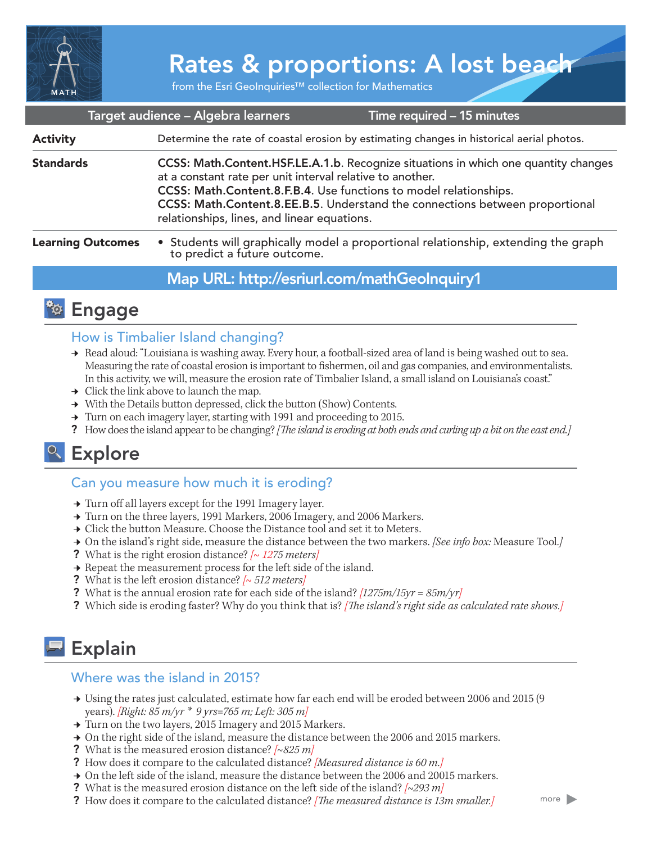

# Rates & proportions: A lost beach

from the Esri GeoInquiries™ collection for Mathematics

|                          | Target audience - Algebra learners<br>Time required - 15 minutes                                                                                                                                                                                                                                                                                     |  |
|--------------------------|------------------------------------------------------------------------------------------------------------------------------------------------------------------------------------------------------------------------------------------------------------------------------------------------------------------------------------------------------|--|
| <b>Activity</b>          | Determine the rate of coastal erosion by estimating changes in historical aerial photos.                                                                                                                                                                                                                                                             |  |
| <b>Standards</b>         | CCSS: Math.Content.HSF.LE.A.1.b. Recognize situations in which one quantity changes<br>at a constant rate per unit interval relative to another.<br>CCSS: Math.Content.8.F.B.4. Use functions to model relationships.<br>CCSS: Math.Content.8.EE.B.5. Understand the connections between proportional<br>relationships, lines, and linear equations. |  |
| <b>Learning Outcomes</b> | • Students will graphically model a proportional relationship, extending the graph to predict a future outcome.                                                                                                                                                                                                                                      |  |
|                          | Map URL: http://esriurl.com/mathGeoInquiry1                                                                                                                                                                                                                                                                                                          |  |

### **<sup><b>Ro</sup>** Engage</sup>

#### How is Timbalier Island changing?

- → Read aloud: "Louisiana is washing away. Every hour, a football-sized area of land is being washed out to sea. Measuring the rate of coastal erosion is important to fishermen, oil and gas companies, and environmentalists. In this activity, we will, measure the erosion rate of Timbalier Island, a small island on Louisiana's coast."
- $\rightarrow$  Click the link above to launch the map.
- → With the Details button depressed, click the button (Show) Contents.
- $\rightarrow$  Turn on each imagery layer, starting with 1991 and proceeding to 2015.
- ? How does the island appear to be changing? *[The island is eroding at both ends and curling up a bit on the east end.]*

## <sup>o</sup> Explore

#### Can you measure how much it is eroding?

- → Turn off all layers except for the 1991 Imagery layer.
- → Turn on the three layers, 1991 Markers, 2006 Imagery, and 2006 Markers.
- → Click the button Measure. Choose the Distance tool and set it to Meters.
- ʅ On the island's right side, measure the distance between the two markers. *[See info box:* Measure Tool*.]*
- ? What is the right erosion distance? *[~ 1275 meters]*
- $\rightarrow$  Repeat the measurement process for the left side of the island.
- ? What is the left erosion distance? *[~ 512 meters]*
- ? What is the annual erosion rate for each side of the island? *[1275m/15yr = 85m/yr]*
- ? Which side is eroding faster? Why do you think that is? *[The island's right side as calculated rate shows.]*

### Explain

#### Where was the island in 2015?

- → Using the rates just calculated, estimate how far each end will be eroded between 2006 and 2015 (9 years). *[Right: 85 m/yr \* 9 yrs=765 m; Left: 305 m]*
- → Turn on the two layers, 2015 Imagery and 2015 Markers.
- → On the right side of the island, measure the distance between the 2006 and 2015 markers.
- ? What is the measured erosion distance? *[~825 m]*
- ? How does it compare to the calculated distance? *[Measured distance is 60 m.]*
- **→** On the left side of the island, measure the distance between the 2006 and 20015 markers.
- ? What is the measured erosion distance on the left side of the island? *[~293 m]*
- ? How does it compare to the calculated distance? *[The measured distance is 13m smaller.]*